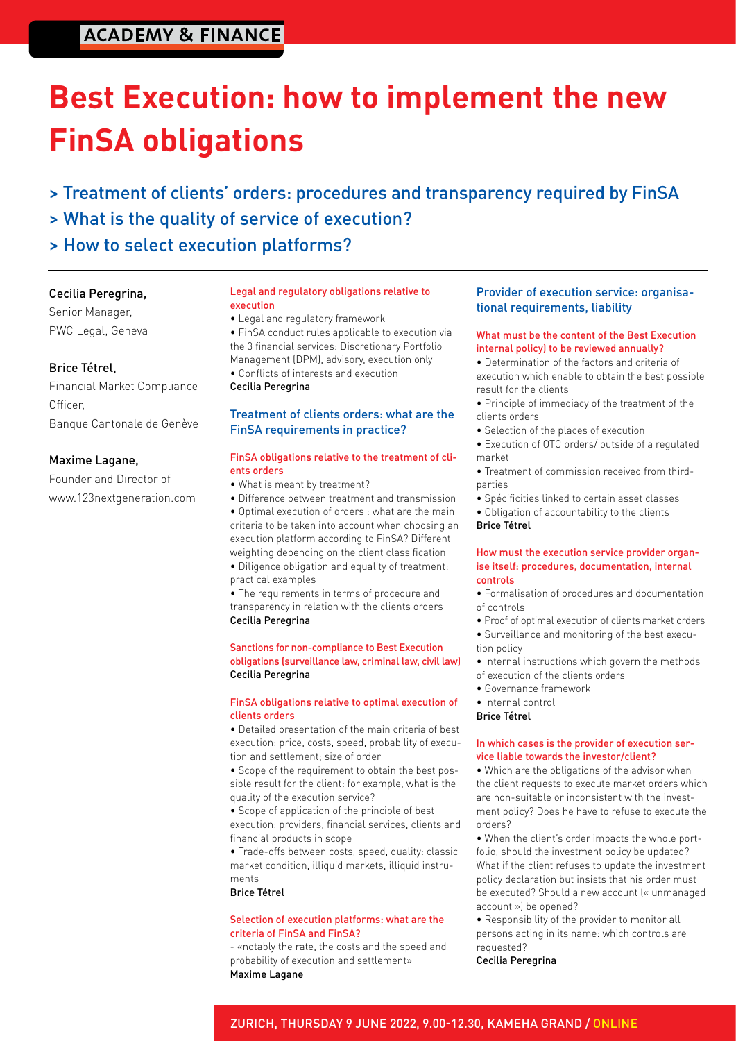### **ACADEMY & FINANCE**

# **Best Execution: how to implement the new FinSA obligations**

- > Treatment of clients' orders: procedures and transparency required by FinSA
- > What is the quality of service of execution?
- > How to select execution platforms?

#### Cecilia Peregrina,

Senior Manager, PWC Legal, Geneva

#### Brice Tétrel,

Financial Market Compliance Officer, Banque Cantonale de Genève

#### Maxime Lagane,

Founder and Director of www.123nextgeneration.com

#### Legal and regulatory obligations relative to execution

- Legal and regulatory framework
- FinSA conduct rules applicable to execution via the 3 financial services: Discretionary Portfolio Management (DPM), advisory, execution only
- Conflicts of interests and execution
- Cecilia Peregrina

#### Treatment of clients orders: what are the FinSA requirements in practice?

#### FinSA obligations relative to the treatment of clients orders

- What is meant by treatment?
- Difference between treatment and transmission
- Optimal execution of orders : what are the main criteria to be taken into account when choosing an execution platform according to FinSA? Different weighting depending on the client classification • Diligence obligation and equality of treatment:
- practical examples

• The requirements in terms of procedure and transparency in relation with the clients orders Cecilia Peregrina

#### Sanctions for non-compliance to Best Execution obligations (surveillance law, criminal law, civil law) Cecilia Peregrina

#### FinSA obligations relative to optimal execution of clients orders

• Detailed presentation of the main criteria of best execution: price, costs, speed, probability of execution and settlement; size of order

• Scope of the requirement to obtain the best possible result for the client: for example, what is the quality of the execution service?

• Scope of application of the principle of best execution: providers, financial services, clients and financial products in scope

• Trade-offs between costs, speed, quality: classic market condition, illiquid markets, illiquid instruments

Brice Tétrel

#### Selection of execution platforms: what are the criteria of FinSA and FinSA?

- «notably the rate, the costs and the speed and probability of execution and settlement» Maxime Lagane

#### Provider of execution service: organisational requirements, liability

#### What must be the content of the Best Execution internal policy) to be reviewed annually?

• Determination of the factors and criteria of execution which enable to obtain the best possible result for the clients

- Principle of immediacy of the treatment of the clients orders
- Selection of the places of execution
- Execution of OTC orders/ outside of a regulated market
- Treatment of commission received from thirdparties
- Spécificities linked to certain asset classes
- Obligation of accountability to the clients

Brice Tétrel

#### How must the execution service provider organise itself: procedures, documentation, internal controls

• Formalisation of procedures and documentation of controls

- Proof of optimal execution of clients market orders
- Surveillance and monitoring of the best execution policy
- Internal instructions which govern the methods of execution of the clients orders
- Governance framework
- Internal control
- Brice Tétrel

#### In which cases is the provider of execution service liable towards the investor/client?

• Which are the obligations of the advisor when the client requests to execute market orders which are non-suitable or inconsistent with the investment policy? Does he have to refuse to execute the orders?

• When the client's order impacts the whole portfolio, should the investment policy be updated? What if the client refuses to update the investment policy declaration but insists that his order must be executed? Should a new account (« unmanaged account ») be opened?

• Responsibility of the provider to monitor all persons acting in its name: which controls are requested?

Cecilia Peregrina